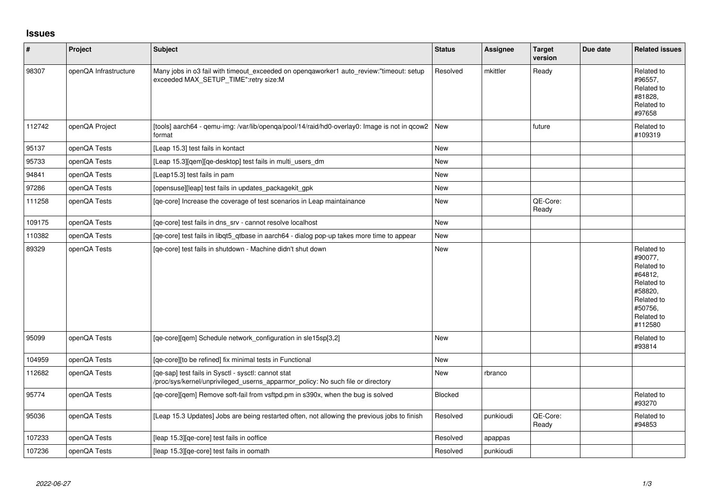## **Issues**

| $\vert$ # | Project               | Subject                                                                                                                                | <b>Status</b> | <b>Assignee</b> | <b>Target</b><br>version | Due date | <b>Related issues</b>                                                                                                     |
|-----------|-----------------------|----------------------------------------------------------------------------------------------------------------------------------------|---------------|-----------------|--------------------------|----------|---------------------------------------------------------------------------------------------------------------------------|
| 98307     | openQA Infrastructure | Many jobs in o3 fail with timeout exceeded on opengaworker1 auto_review:"timeout: setup<br>exceeded MAX_SETUP_TIME":retry size:M       | Resolved      | mkittler        | Ready                    |          | Related to<br>#96557,<br>Related to<br>#81828,<br>Related to<br>#97658                                                    |
| 112742    | openQA Project        | [tools] aarch64 - qemu-img: /var/lib/openqa/pool/14/raid/hd0-overlay0: Image is not in qcow2   New<br>format                           |               |                 | future                   |          | Related to<br>#109319                                                                                                     |
| 95137     | openQA Tests          | [Leap 15.3] test fails in kontact                                                                                                      | New           |                 |                          |          |                                                                                                                           |
| 95733     | openQA Tests          | [Leap 15.3][qem][qe-desktop] test fails in multi_users_dm                                                                              | New           |                 |                          |          |                                                                                                                           |
| 94841     | openQA Tests          | [Leap15.3] test fails in pam                                                                                                           | New           |                 |                          |          |                                                                                                                           |
| 97286     | openQA Tests          | [opensuse][leap] test fails in updates packagekit gpk                                                                                  | New           |                 |                          |          |                                                                                                                           |
| 111258    | openQA Tests          | [qe-core] Increase the coverage of test scenarios in Leap maintainance                                                                 | New           |                 | QE-Core:<br>Ready        |          |                                                                                                                           |
| 109175    | openQA Tests          | [qe-core] test fails in dns_srv - cannot resolve localhost                                                                             | <b>New</b>    |                 |                          |          |                                                                                                                           |
| 110382    | openQA Tests          | [qe-core] test fails in libqt5_qtbase in aarch64 - dialog pop-up takes more time to appear                                             | New           |                 |                          |          |                                                                                                                           |
| 89329     | openQA Tests          | [qe-core] test fails in shutdown - Machine didn't shut down                                                                            | New           |                 |                          |          | Related to<br>#90077,<br>Related to<br>#64812,<br>Related to<br>#58820,<br>Related to<br>#50756,<br>Related to<br>#112580 |
| 95099     | openQA Tests          | [qe-core][qem] Schedule network_configuration in sle15sp[3,2]                                                                          | <b>New</b>    |                 |                          |          | Related to<br>#93814                                                                                                      |
| 104959    | openQA Tests          | [qe-core][to be refined] fix minimal tests in Functional                                                                               | New           |                 |                          |          |                                                                                                                           |
| 112682    | openQA Tests          | [qe-sap] test fails in Sysctl - sysctl: cannot stat<br>/proc/sys/kernel/unprivileged_userns_apparmor_policy: No such file or directory | <b>New</b>    | rbranco         |                          |          |                                                                                                                           |
| 95774     | openQA Tests          | [qe-core][qem] Remove soft-fail from vsftpd.pm in s390x, when the bug is solved                                                        | Blocked       |                 |                          |          | Related to<br>#93270                                                                                                      |
| 95036     | openQA Tests          | [Leap 15.3 Updates] Jobs are being restarted often, not allowing the previous jobs to finish                                           | Resolved      | punkioudi       | QE-Core:<br>Ready        |          | Related to<br>#94853                                                                                                      |
| 107233    | openQA Tests          | [leap 15.3] [qe-core] test fails in ooffice                                                                                            | Resolved      | apappas         |                          |          |                                                                                                                           |
| 107236    | openQA Tests          | [leap 15.3] [qe-core] test fails in oomath                                                                                             | Resolved      | punkioudi       |                          |          |                                                                                                                           |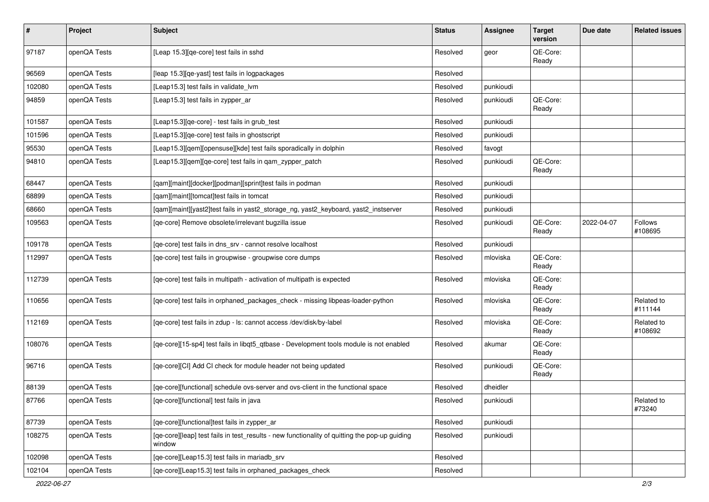| #      | Project      | Subject                                                                                                 | <b>Status</b> | <b>Assignee</b> | <b>Target</b><br>version | Due date   | <b>Related issues</b> |
|--------|--------------|---------------------------------------------------------------------------------------------------------|---------------|-----------------|--------------------------|------------|-----------------------|
| 97187  | openQA Tests | [Leap 15.3][qe-core] test fails in sshd                                                                 | Resolved      | geor            | QE-Core:<br>Ready        |            |                       |
| 96569  | openQA Tests | [leap 15.3][qe-yast] test fails in logpackages                                                          | Resolved      |                 |                          |            |                       |
| 102080 | openQA Tests | [Leap15.3] test fails in validate_lvm                                                                   | Resolved      | punkioudi       |                          |            |                       |
| 94859  | openQA Tests | [Leap15.3] test fails in zypper_ar                                                                      | Resolved      | punkioudi       | QE-Core:<br>Ready        |            |                       |
| 101587 | openQA Tests | [Leap15.3][qe-core] - test fails in grub_test                                                           | Resolved      | punkioudi       |                          |            |                       |
| 101596 | openQA Tests | [Leap15.3][qe-core] test fails in ghostscript                                                           | Resolved      | punkioudi       |                          |            |                       |
| 95530  | openQA Tests | [Leap15.3][qem][opensuse][kde] test fails sporadically in dolphin                                       | Resolved      | favogt          |                          |            |                       |
| 94810  | openQA Tests | [Leap15.3][qem][qe-core] test fails in qam_zypper_patch                                                 | Resolved      | punkioudi       | QE-Core:<br>Ready        |            |                       |
| 68447  | openQA Tests | [qam][maint][docker][podman][sprint]test fails in podman                                                | Resolved      | punkioudi       |                          |            |                       |
| 68899  | openQA Tests | [qam][maint][tomcat]test fails in tomcat                                                                | Resolved      | punkioudi       |                          |            |                       |
| 68660  | openQA Tests | [qam][maint][yast2]test fails in yast2_storage_ng, yast2_keyboard, yast2_instserver                     | Resolved      | punkioudi       |                          |            |                       |
| 109563 | openQA Tests | [qe-core] Remove obsolete/irrelevant bugzilla issue                                                     | Resolved      | punkioudi       | QE-Core:<br>Ready        | 2022-04-07 | Follows<br>#108695    |
| 109178 | openQA Tests | [qe-core] test fails in dns_srv - cannot resolve localhost                                              | Resolved      | punkioudi       |                          |            |                       |
| 112997 | openQA Tests | [qe-core] test fails in groupwise - groupwise core dumps                                                | Resolved      | mloviska        | QE-Core:<br>Ready        |            |                       |
| 112739 | openQA Tests | [qe-core] test fails in multipath - activation of multipath is expected                                 | Resolved      | mloviska        | QE-Core:<br>Ready        |            |                       |
| 110656 | openQA Tests | [qe-core] test fails in orphaned_packages_check - missing libpeas-loader-python                         | Resolved      | mloviska        | QE-Core:<br>Ready        |            | Related to<br>#111144 |
| 112169 | openQA Tests | [qe-core] test fails in zdup - ls: cannot access /dev/disk/by-label                                     | Resolved      | mloviska        | QE-Core:<br>Ready        |            | Related to<br>#108692 |
| 108076 | openQA Tests | [qe-core][15-sp4] test fails in libqt5_qtbase - Development tools module is not enabled                 | Resolved      | akumar          | QE-Core:<br>Ready        |            |                       |
| 96716  | openQA Tests | [qe-core][CI] Add CI check for module header not being updated                                          | Resolved      | punkioudi       | QE-Core:<br>Ready        |            |                       |
| 88139  | openQA Tests | [ge-core][functional] schedule ovs-server and ovs-client in the functional space                        | Resolved      | dheidler        |                          |            |                       |
| 87766  | openQA Tests | [qe-core][functional] test fails in java                                                                | Resolved      | punkioudi       |                          |            | Related to<br>#73240  |
| 87739  | openQA Tests | [qe-core][functional]test fails in zypper_ar                                                            | Resolved      | punkioudi       |                          |            |                       |
| 108275 | openQA Tests | [qe-core][leap] test fails in test_results - new functionality of quitting the pop-up guiding<br>window | Resolved      | punkioudi       |                          |            |                       |
| 102098 | openQA Tests | [qe-core][Leap15.3] test fails in mariadb_srv                                                           | Resolved      |                 |                          |            |                       |
| 102104 | openQA Tests | [qe-core][Leap15.3] test fails in orphaned_packages_check                                               | Resolved      |                 |                          |            |                       |